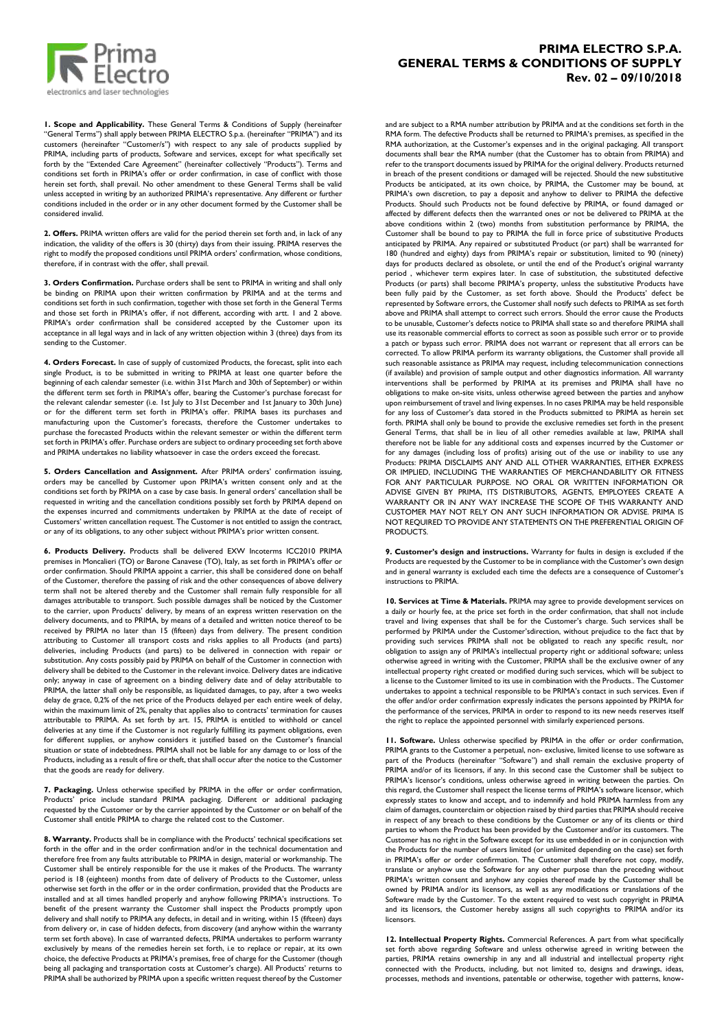

## **1. Scope and Applicability.** These General Terms & Conditions of Supply (hereinafter "General Terms") shall apply between PRIMA ELECTRO S.p.a. (hereinafter "PRIMA") and its customers (hereinafter "Customer/s") with respect to any sale of products supplied by PRIMA, including parts of products, Software and services, except for what specifically set forth by the "Extended Care Agreement" (hereinafter collectively "Products"). Terms and conditions set forth in PRIMA's offer or order confirmation, in case of conflict with those herein set forth, shall prevail. No other amendment to these General Terms shall be valid unless accepted in writing by an authorized PRIMA's representative. Any different or further conditions included in the order or in any other document formed by the Customer shall be considered invalid.

**2. Offers.** PRIMA written offers are valid for the period therein set forth and, in lack of any indication, the validity of the offers is 30 (thirty) days from their issuing. PRIMA reserves the right to modify the proposed conditions until PRIMA orders' confirmation, whose conditions, therefore, if in contrast with the offer, shall prevail.

**3. Orders Confirmation.** Purchase orders shall be sent to PRIMA in writing and shall only be binding on PRIMA upon their written confirmation by PRIMA and at the terms and conditions set forth in such confirmation, together with those set forth in the General Terms and those set forth in PRIMA's offer, if not different, according with artt. 1 and 2 above. PRIMA's order confirmation shall be considered accepted by the Customer upon its acceptance in all legal ways and in lack of any written objection within 3 (three) days from its sending to the Customer.

**4. Orders Forecast.** In case of supply of customized Products, the forecast, split into each single Product, is to be submitted in writing to PRIMA at least one quarter before the beginning of each calendar semester (i.e. within 31st March and 30th of September) or within the different term set forth in PRIMA's offer, bearing the Customer's purchase forecast for the relevant calendar semester (i.e. 1st July to 31st December and 1st January to 30th June) or for the different term set forth in PRIMA's offer. PRIMA bases its purchases and manufacturing upon the Customer's forecasts, therefore the Customer undertakes to purchase the forecasted Products within the relevant semester or within the different term set forth in PRIMA's offer. Purchase orders are subject to ordinary proceeding set forth above and PRIMA undertakes no liability whatsoever in case the orders exceed the forecast.

**5. Orders Cancellation and Assignment.** After PRIMA orders' confirmation issuing, orders may be cancelled by Customer upon PRIMA's written consent only and at the conditions set forth by PRIMA on a case by case basis. In general orders' cancellation shall be requested in writing and the cancellation conditions possibly set forth by PRIMA depend on the expenses incurred and commitments undertaken by PRIMA at the date of receipt of Customers' written cancellation request. The Customer is not entitled to assign the contract, or any of its obligations, to any other subject without PRIMA's prior written consent.

**6. Products Delivery.** Products shall be delivered EXW Incoterms ICC2010 PRIMA premises in Moncalieri (TO) or Barone Canavese (TO), Italy, as set forth in PRIMA's offer or order confirmation. Should PRIMA appoint a carrier, this shall be considered done on behalf of the Customer, therefore the passing of risk and the other consequences of above delivery term shall not be altered thereby and the Customer shall remain fully responsible for all damages attributable to transport. Such possible damages shall be noticed by the Customer to the carrier, upon Products' delivery, by means of an express written reservation on the delivery documents, and to PRIMA, by means of a detailed and written notice thereof to be received by PRIMA no later than 15 (fifteen) days from delivery. The present condition attributing to Customer all transport costs and risks applies to all Products (and parts) deliveries, including Products (and parts) to be delivered in connection with repair or substitution. Any costs possibly paid by PRIMA on behalf of the Customer in connection with delivery shall be debited to the Customer in the relevant invoice. Delivery dates are indicative only; anyway in case of agreement on a binding delivery date and of delay attributable to PRIMA, the latter shall only be responsible, as liquidated damages, to pay, after a two weeks delay de grace, 0,2% of the net price of the Products delayed per each entire week of delay, within the maximum limit of 2%, penalty that applies also to contracts' termination for causes attributable to PRIMA. As set forth by art. 15, PRIMA is entitled to withhold or cancel deliveries at any time if the Customer is not regularly fulfilling its payment obligations, even for different supplies, or anyhow considers it justified based on the Customer's financial situation or state of indebtedness. PRIMA shall not be liable for any damage to or loss of the Products, including as a result of fire or theft, that shall occur after the notice to the Customer that the goods are ready for delivery.

**7. Packaging.** Unless otherwise specified by PRIMA in the offer or order confirmation, Products' price include standard PRIMA packaging. Different or additional packaging requested by the Customer or by the carrier appointed by the Customer or on behalf of the Customer shall entitle PRIMA to charge the related cost to the Customer.

**8. Warranty.** Products shall be in compliance with the Products' technical specifications set forth in the offer and in the order confirmation and/or in the technical documentation and therefore free from any faults attributable to PRIMA in design, material or workmanship. The Customer shall be entirely responsible for the use it makes of the Products. The warranty period is 18 (eighteen) months from date of delivery of Products to the Customer, unless otherwise set forth in the offer or in the order confirmation, provided that the Products are installed and at all times handled properly and anyhow following PRIMA's instructions. To benefit of the present warranty the Customer shall inspect the Products promptly upon delivery and shall notify to PRIMA any defects, in detail and in writing, within 15 (fifteen) days from delivery or, in case of hidden defects, from discovery (and anyhow within the warranty term set forth above). In case of warranted defects, PRIMA undertakes to perform warranty exclusively by means of the remedies herein set forth, i.e to replace or repair, at its own choice, the defective Products at PRIMA's premises, free of charge for the Customer (though being all packaging and transportation costs at Customer's charge). All Products' returns to PRIMA shall be authorized by PRIMA upon a specific written request thereof by the Customer

## **PRIMA ELECTRO S.P.A. GENERAL TERMS & CONDITIONS OF SUPPLY Rev. 02 – 09/10/2018**

and are subject to a RMA number attribution by PRIMA and at the conditions set forth in the RMA form. The defective Products shall be returned to PRIMA's premises, as specified in the RMA authorization, at the Customer's expenses and in the original packaging. All transport documents shall bear the RMA number (that the Customer has to obtain from PRIMA) and refer to the transport documents issued by PRIMA for the original delivery. Products returned in breach of the present conditions or damaged will be rejected. Should the new substitutive Products be anticipated, at its own choice, by PRIMA, the Customer may be bound, at PRIMA's own discretion, to pay a deposit and anyhow to deliver to PRIMA the defective Products. Should such Products not be found defective by PRIMA, or found damaged or affected by different defects then the warranted ones or not be delivered to PRIMA at the above conditions within 2 (two) months from substitution performance by PRIMA, the Customer shall be bound to pay to PRIMA the full in force price of substitutive Products anticipated by PRIMA. Any repaired or substituted Product (or part) shall be warranted for 180 (hundred and eighty) days from PRIMA's repair or substitution, limited to 90 (ninety) days for products declared as obsolete, or until the end of the Product's original warranty period , whichever term expires later. In case of substitution, the substituted defective Products (or parts) shall become PRIMA's property, unless the substitutive Products have been fully paid by the Customer, as set forth above. Should the Products' defect be represented by Software errors, the Customer shall notify such defects to PRIMA as set forth above and PRIMA shall attempt to correct such errors. Should the error cause the Products to be unusable, Customer's defects notice to PRIMA shall state so and therefore PRIMA shall use its reasonable commercial efforts to correct as soon as possible such error or to provide a patch or bypass such error. PRIMA does not warrant or represent that all errors can be corrected. To allow PRIMA perform its warranty obligations, the Customer shall provide all such reasonable assistance as PRIMA may request, including telecommunication connections (if available) and provision of sample output and other diagnostics information. All warranty interventions shall be performed by PRIMA at its premises and PRIMA shall have no obligations to make on-site visits, unless otherwise agreed between the parties and anyhow upon reimbursement of travel and living expenses. In no cases PRIMA may be held responsible for any loss of Customer's data stored in the Products submitted to PRIMA as herein set forth. PRIMA shall only be bound to provide the exclusive remedies set forth in the present General Terms, that shall be in lieu of all other remedies available at law, PRIMA shall therefore not be liable for any additional costs and expenses incurred by the Customer or for any damages (including loss of profits) arising out of the use or inability to use any Products: PRIMA DISCLAIMS ANY AND ALL OTHER WARRANTIES, EITHER EXPRESS OR IMPLIED, INCLUDING THE WARRANTIES OF MERCHANDABILITY OR FITNESS FOR ANY PARTICULAR PURPOSE. NO ORAL OR WRITTEN INFORMATION OR ADVISE GIVEN BY PRIMA, ITS DISTRIBUTORS, AGENTS, EMPLOYEES CREATE A WARRANTY OR IN ANY WAY INCREASE THE SCOPE OF THIS WARRANTY AND CUSTOMER MAY NOT RELY ON ANY SUCH INFORMATION OR ADVISE. PRIMA IS NOT REQUIRED TO PROVIDE ANY STATEMENTS ON THE PREFERENTIAL ORIGIN OF **PRODUCTS** 

**9. Customer's design and instructions.** Warranty for faults in design is excluded if the Products are requested by the Customer to be in compliance with the Customer's own design and in general warranty is excluded each time the defects are a consequence of Customer's instructions to PRIMA.

**10. Services at Time & Materials.** PRIMA may agree to provide development services on a daily or hourly fee, at the price set forth in the order confirmation, that shall not include travel and living expenses that shall be for the Customer's charge. Such services shall be performed by PRIMA under the Customer'sdirection, without prejudice to the fact that by providing such services PRIMA shall not be obligated to reach any specific result, nor obligation to assign any of PRIMA's intellectual property right or additional software; unless otherwise agreed in writing with the Customer, PRIMA shall be the exclusive owner of any intellectual property right created or modified during such services, which will be subject to a license to the Customer limited to its use in combination with the Products.. The Customer undertakes to appoint a technical responsible to be PRIMA's contact in such services. Even if the offer and/or order confirmation expressly indicates the persons appointed by PRIMA for the performance of the services, PRIMA in order to respond to its new needs reserves itself the right to replace the appointed personnel with similarly experienced persons.

**11. Software.** Unless otherwise specified by PRIMA in the offer or order confirmation, PRIMA grants to the Customer a perpetual, non- exclusive, limited license to use software as part of the Products (hereinafter "Software") and shall remain the exclusive property of PRIMA and/or of its licensors, if any. In this second case the Customer shall be subject to PRIMA's licensor's conditions, unless otherwise agreed in writing between the parties. On this regard, the Customer shall respect the license terms of PRIMA's software licensor, which expressly states to know and accept, and to indemnify and hold PRIMA harmless from any claim of damages, counterclaim or objection raised by third parties that PRIMA should receive in respect of any breach to these conditions by the Customer or any of its clients or third parties to whom the Product has been provided by the Customer and/or its customers. The Customer has no right in the Software except for its use embedded in or in conjunction with the Products for the number of users limited (or unlimited depending on the case) set forth in PRIMA's offer or order confirmation. The Customer shall therefore not copy, modify, translate or anyhow use the Software for any other purpose than the preceding without PRIMA's written consent and anyhow any copies thereof made by the Customer shall be owned by PRIMA and/or its licensors, as well as any modifications or translations of the Software made by the Customer. To the extent required to vest such copyright in PRIMA and its licensors, the Customer hereby assigns all such copyrights to PRIMA and/or its licensors.

**12. Intellectual Property Rights.** Commercial References. A part from what specifically set forth above regarding Software and unless otherwise agreed in writing between the parties, PRIMA retains ownership in any and all industrial and intellectual property right connected with the Products, including, but not limited to, designs and drawings, ideas, processes, methods and inventions, patentable or otherwise, together with patterns, know-